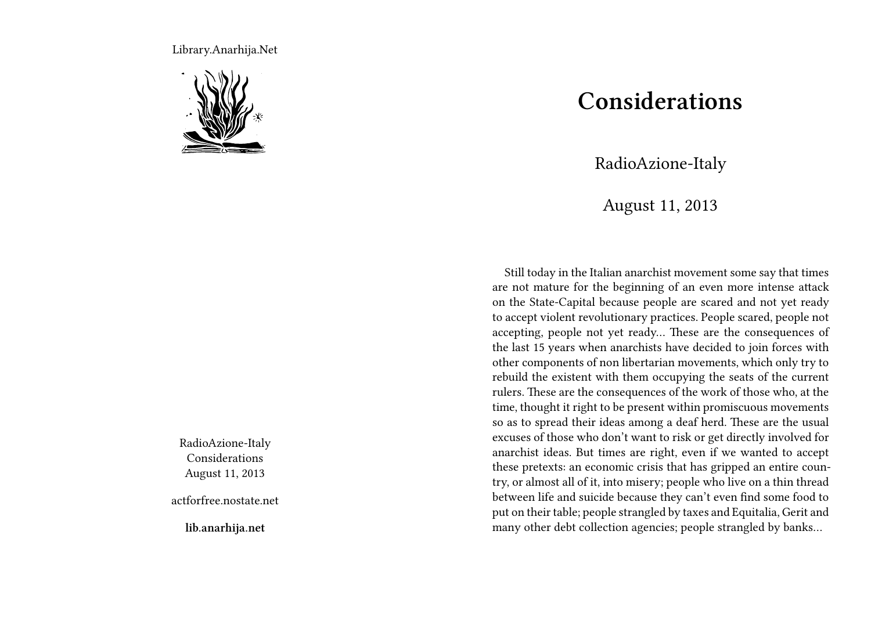Library.Anarhija.Net



RadioAzione-Italy Considerations August 11, 2013

actforfree.nostate.net

**lib.anarhija.net**

## **Considerations**

RadioAzione-Italy

August 11, 2013

Still today in the Italian anarchist movement some say that times are not mature for the beginning of an even more intense attack on the State-Capital because people are scared and not yet ready to accept violent revolutionary practices. People scared, people not accepting, people not yet ready… These are the consequences of the last 15 years when anarchists have decided to join forces with other components of non libertarian movements, which only try to rebuild the existent with them occupying the seats of the current rulers. These are the consequences of the work of those who, at the time, thought it right to be present within promiscuous movements so as to spread their ideas among a deaf herd. These are the usual excuses of those who don't want to risk or get directly involved for anarchist ideas. But times are right, even if we wanted to accept these pretexts: an economic crisis that has gripped an entire country, or almost all of it, into misery; people who live on a thin thread between life and suicide because they can't even find some food to put on their table; people strangled by taxes and Equitalia, Gerit and many other debt collection agencies; people strangled by banks…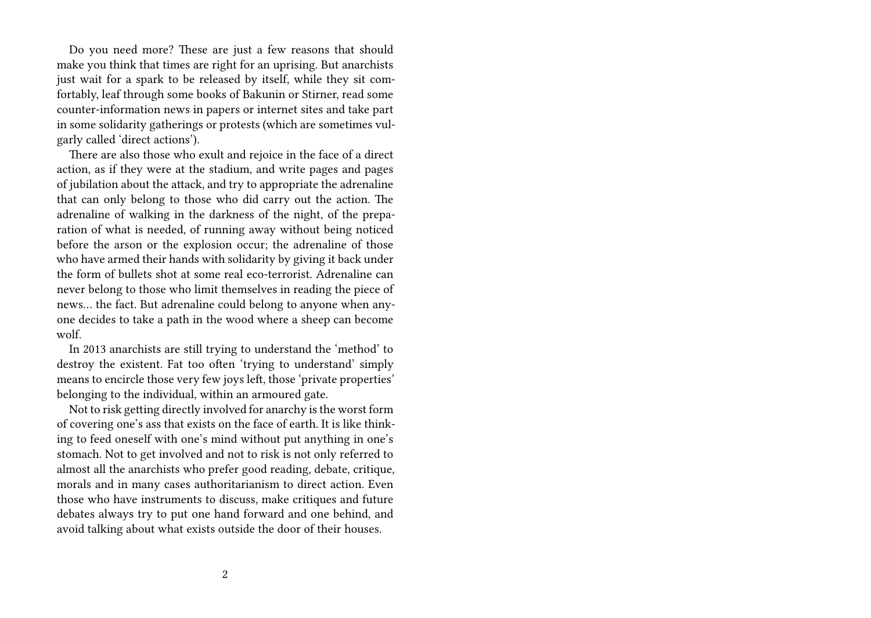Do you need more? These are just a few reasons that should make you think that times are right for an uprising. But anarchists just wait for a spark to be released by itself, while they sit comfortably, leaf through some books of Bakunin or Stirner, read some counter-information news in papers or internet sites and take part in some solidarity gatherings or protests (which are sometimes vulgarly called 'direct actions').

There are also those who exult and rejoice in the face of a direct action, as if they were at the stadium, and write pages and pages of jubilation about the attack, and try to appropriate the adrenaline that can only belong to those who did carry out the action. The adrenaline of walking in the darkness of the night, of the preparation of what is needed, of running away without being noticed before the arson or the explosion occur; the adrenaline of those who have armed their hands with solidarity by giving it back under the form of bullets shot at some real eco-terrorist. Adrenaline can never belong to those who limit themselves in reading the piece of news… the fact. But adrenaline could belong to anyone when anyone decides to take a path in the wood where a sheep can become wolf.

In 2013 anarchists are still trying to understand the 'method' to destroy the existent. Fat too often 'trying to understand' simply means to encircle those very few joys left, those 'private properties' belonging to the individual, within an armoured gate.

Not to risk getting directly involved for anarchy is the worst form of covering one's ass that exists on the face of earth. It is like thinking to feed oneself with one's mind without put anything in one's stomach. Not to get involved and not to risk is not only referred to almost all the anarchists who prefer good reading, debate, critique, morals and in many cases authoritarianism to direct action. Even those who have instruments to discuss, make critiques and future debates always try to put one hand forward and one behind, and avoid talking about what exists outside the door of their houses.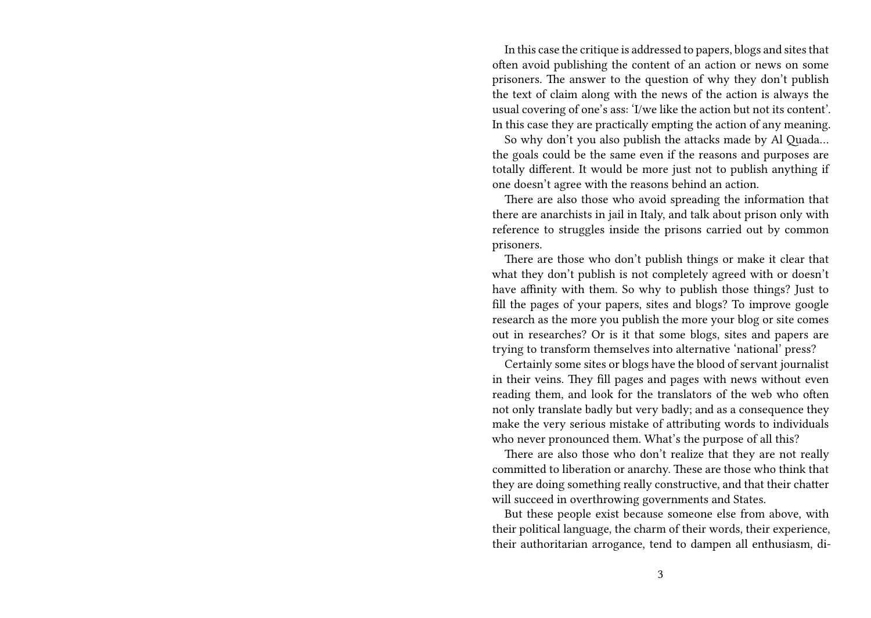In this case the critique is addressed to papers, blogs and sites that often avoid publishing the content of an action or news on some prisoners. The answer to the question of why they don't publish the text of claim along with the news of the action is always the usual covering of one's ass: 'I/we like the action but not its content'. In this case they are practically empting the action of any meaning.

So why don't you also publish the attacks made by Al Quada… the goals could be the same even if the reasons and purposes are totally different. It would be more just not to publish anything if one doesn't agree with the reasons behind an action.

There are also those who avoid spreading the information that there are anarchists in jail in Italy, and talk about prison only with reference to struggles inside the prisons carried out by common prisoners.

There are those who don't publish things or make it clear that what they don't publish is not completely agreed with or doesn't have affinity with them. So why to publish those things? Just to fill the pages of your papers, sites and blogs? To improve google research as the more you publish the more your blog or site comes out in researches? Or is it that some blogs, sites and papers are trying to transform themselves into alternative 'national' press?

Certainly some sites or blogs have the blood of servant journalist in their veins. They fill pages and pages with news without even reading them, and look for the translators of the web who often not only translate badly but very badly; and as a consequence they make the very serious mistake of attributing words to individuals who never pronounced them. What's the purpose of all this?

There are also those who don't realize that they are not really committed to liberation or anarchy. These are those who think that they are doing something really constructive, and that their chatter will succeed in overthrowing governments and States.

But these people exist because someone else from above, with their political language, the charm of their words, their experience, their authoritarian arrogance, tend to dampen all enthusiasm, di